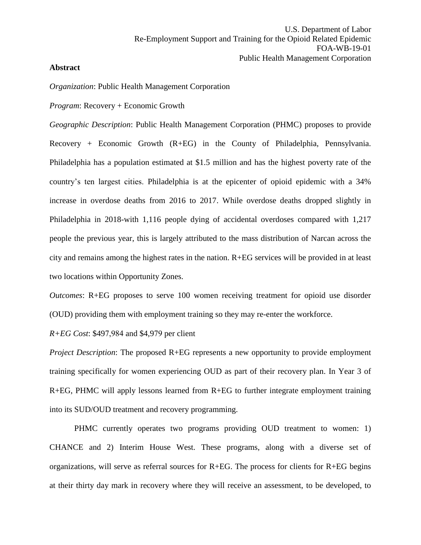## **Abstract**

*Organization*: Public Health Management Corporation

*Program*: Recovery + Economic Growth

*Geographic Description*: Public Health Management Corporation (PHMC) proposes to provide Recovery + Economic Growth (R+EG) in the County of Philadelphia, Pennsylvania. Philadelphia has a population estimated at \$1.5 million and has the highest poverty rate of the country's ten largest cities. Philadelphia is at the epicenter of opioid epidemic with a 34% increase in overdose deaths from 2016 to 2017. While overdose deaths dropped slightly in Philadelphia in 2018-with 1,116 people dying of accidental overdoses compared with 1,217 people the previous year, this is largely attributed to the mass distribution of Narcan across the city and remains among the highest rates in the nation. R+EG services will be provided in at least two locations within Opportunity Zones.

*Outcomes*: R+EG proposes to serve 100 women receiving treatment for opioid use disorder (OUD) providing them with employment training so they may re-enter the workforce.

*R+EG Cost*: \$497,984 and \$4,979 per client

*Project Description*: The proposed R+EG represents a new opportunity to provide employment training specifically for women experiencing OUD as part of their recovery plan. In Year 3 of R+EG, PHMC will apply lessons learned from R+EG to further integrate employment training into its SUD/OUD treatment and recovery programming.

PHMC currently operates two programs providing OUD treatment to women: 1) CHANCE and 2) Interim House West. These programs, along with a diverse set of organizations, will serve as referral sources for R+EG. The process for clients for R+EG begins at their thirty day mark in recovery where they will receive an assessment, to be developed, to